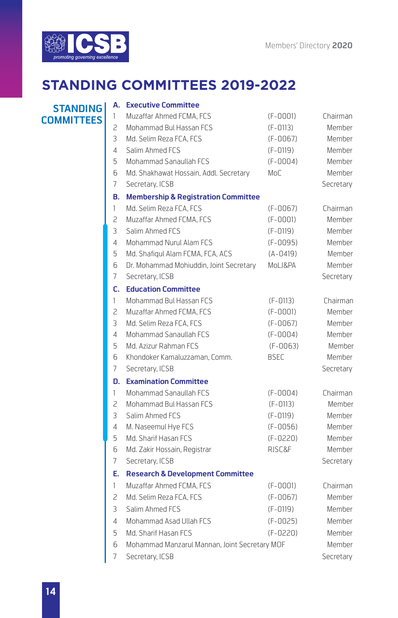

# **STANDING COMMITTEES 2019-2022**

**COMMITTEES**

#### **A. Executive Committee**

| <b>STANDING</b> | А.             | <b>EXECUTIVE COMMITTEE</b>                     |              |               |
|-----------------|----------------|------------------------------------------------|--------------|---------------|
| <b>MMITTEES</b> | $\mathbf{1}$   | Muzaffar Ahmed FCMA, FCS                       | $(F - 0001)$ | Chairman      |
|                 | $\overline{c}$ | Mohammad Bul Hassan FCS                        | $(F-0113)$   | Member        |
|                 | 3              | Md. Selim Reza FCA. FCS                        | $(F - 0067)$ | Member        |
|                 | 4              | Salim Ahmed FCS                                | (F-0119)     | <b>Member</b> |
|                 | 5              | Mohammad Sanaullah FCS                         | $(F-0004)$   | <b>Member</b> |
|                 | 6              | Md. Shakhawat Hossain, Addl. Secretary         | MoC          | Member        |
|                 | 7              | Secretary, ICSB                                |              | Secretary     |
|                 | В.             | <b>Membership &amp; Registration Committee</b> |              |               |
|                 | $\mathbf{1}$   | Md. Selim Reza FCA. FCS                        | $(F-0067)$   | Chairman      |
|                 | $\overline{c}$ | Muzaffar Ahmed FCMA, FCS                       | $(F - 0001)$ | Member        |
|                 | 3              | Salim Ahmed FCS                                | (F-0119)     | <b>Member</b> |
|                 | 4              | Mohammad Nurul Alam FCS                        | (F-0095)     | Member        |
|                 | 5              | Md. Shafiqul Alam FCMA, FCA, ACS               | $(A - 0419)$ | Member        |
|                 | 6              | Dr. Mohammad Mohiuddin, Joint Secretary        | MoLJ&PA      | Member        |
|                 | 7              | Secretary, ICSB                                |              | Secretary     |
|                 | C.             | <b>Education Committee</b>                     |              |               |
|                 | 1              | Mohammad Bul Hassan FCS                        | $(F-0113)$   | Chairman      |
|                 | 2              | Muzaffar Ahmed FCMA, FCS                       | $(F-0001)$   | Member        |
|                 | 3              | Md. Selim Reza FCA, FCS                        | $(F-0067)$   | Member        |
|                 | 4              | Mohammad Sanaullah FCS                         | $(F-0004)$   | Member        |
|                 | 5              | Md. Azizur Rahman FCS                          | $(F-0063)$   | Member        |
|                 | 6              | Khondoker Kamaluzzaman, Comm.                  | <b>BSEC</b>  | Member        |
|                 | 7              | Secretary, ICSB                                |              | Secretary     |
|                 |                | <b>D.</b> Examination Committee                |              |               |
|                 | 1              | Mohammad Sanaullah FCS                         | $(F-0004)$   | Chairman      |
|                 | 2              | Mohammad Bul Hassan FCS                        | $(F-0113)$   | Member        |
|                 | 3              | Salim Ahmed FCS                                | (F-0119)     | Member        |
|                 | 4              | M. Naseemul Hye FCS                            | $(F-0056)$   | Member        |
|                 | 5              | Md. Sharif Hasan FCS                           | $(F-0220)$   | Member        |
|                 | 6              | Md. Zakir Hossain, Registrar                   | RJSC&F       | Member        |
|                 | $\overline{7}$ | Secretary, ICSB                                |              | Secretary     |
|                 | Е.             | <b>Research &amp; Development Committee</b>    |              |               |
|                 | 1              | Muzaffar Ahmed FCMA, FCS                       | $(F - 0001)$ | Chairman      |
|                 | 2              | Md. Selim Reza FCA, FCS                        | $(F-0067)$   | Member        |
|                 | 3              | Salim Ahmed FCS                                | (F-0119)     | Member        |
|                 | 4              | Mohammad Asad Ullah FCS                        | $(F-0025)$   | Member        |
|                 | 5              | Md. Sharif Hasan FCS                           | $(F-0220)$   | Member        |
|                 | 6              | Mohammad Manzarul Mannan, Joint Secretary MOF  |              | Member        |
|                 | 7              | Secretary, ICSB                                |              | Secretary     |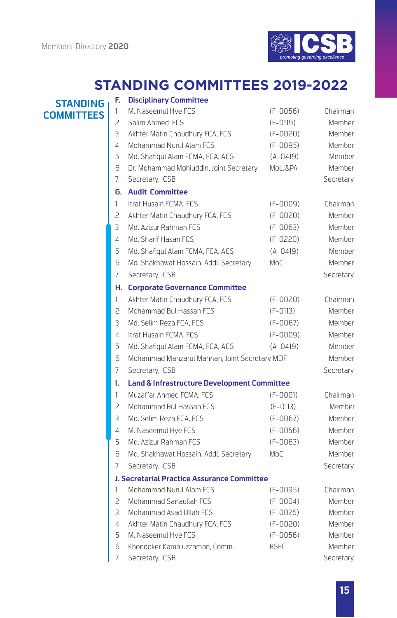

## **STANDING COMMITTEES 2019-2022**

### **STANDING COMMITTEES**

| F.             | <b>Disciplinary Committee</b>                          |              |           |
|----------------|--------------------------------------------------------|--------------|-----------|
| 1              | M. Naseemul Hye FCS                                    | $(F-0056)$   | Chairman  |
| 2              | Salim Ahmed FCS                                        | $(F-0119)$   | Member    |
| 3              | Akhter Matin Chaudhury FCA, FCS                        | $(F - 0020)$ | Member    |
| 4              | Mohammad Nurul Alam FCS                                | $(F-0095)$   | Member    |
| 5              | Md. Shafiqul Alam FCMA, FCA, ACS                       | $(A - 0419)$ | Member    |
| 6              | Dr. Mohammad Mohiuddin, Joint Secretary                | MoLJ&PA      | Member    |
| 7              | Secretary, ICSB                                        |              | Secretary |
| G.             | <b>Audit Committee</b>                                 |              |           |
| $\mathbf{1}$   | Itrat Husain FCMA, FCS                                 | $(F-0009)$   | Chairman  |
| 2              | Akhter Matin Chaudhury FCA, FCS                        | $(F-0020)$   | Member    |
| 3              | Md. Azizur Rahman FCS                                  | $(F - 0063)$ | Member    |
| 4              | Md. Sharif Hasan FCS                                   | $(F-0220)$   | Member    |
| 5              | Md. Shafiqul Alam FCMA, FCA, ACS                       | $(A - 0419)$ | Member    |
| 6              | Md. Shakhawat Hossain, Addl. Secretary                 | MoC          | Member    |
| 7              | Secretary, ICSB                                        |              | Secretary |
| н.             | <b>Corporate Governance Committee</b>                  |              |           |
| $\mathbf{1}$   | Akhter Matin Chaudhury FCA, FCS                        | $(F-0020)$   | Chairman  |
| 2              | Mohammad Bul Hassan FCS                                | $(F-0113)$   | Member    |
| 3              | Md. Selim Reza FCA, FCS                                | $(F-0067)$   | Member    |
| 4              | Itrat Husain FCMA, FCS                                 | $(F-0009)$   | Member    |
| 5              | Md. Shafiqul Alam FCMA, FCA, ACS                       | $(A - 0419)$ | Member    |
| 6              | Mohammad Manzarul Mannan, Joint Secretary MOF          |              | Member    |
| 7              | Secretary, ICSB                                        |              | Secretary |
| ı.             | <b>Land &amp; Infrastructure Development Committee</b> |              |           |
| 1              | Muzaffar Ahmed FCMA, FCS                               | $(F - 0001)$ | Chairman  |
| 2              | Mohammad Bul Hassan FCS                                | $(F - 0113)$ | Member    |
| 3              | Md. Selim Reza FCA. FCS                                | $(F-0067)$   | Member    |
| $\overline{4}$ | M. Naseemul Hye FCS                                    | $(F-0056)$   | Member    |
| 5              | Md. Azizur Rahman FCS                                  | $(F-0063)$   | Member    |
| 6              | Md. Shakhawat Hossain, Addl. Secretary                 | MoC          | Member    |
| 7              | Secretary, ICSB                                        |              | Secretary |
|                | J. Secretarial Practice Assurance Committee            |              |           |
| 1              | Mohammad Nurul Alam FCS                                | (F-0095)     | Chairman  |
| 2              | Mohammad Sanaullah FCS                                 | $(F - 0004)$ | Member    |
| 3              | Mohammad Asad Ullah FCS                                | $(F-0025)$   | Member    |
| 4              | Akhter Matin Chaudhury FCA, FCS                        | $(F - 0020)$ | Member    |
| 5              | M. Naseemul Hye FCS                                    | $(F-0056)$   | Member    |
| 6              | Khondoker Kamaluzzaman, Comm.                          | <b>BSEC</b>  | Member    |
| 7              | Secretary, ICSB                                        |              | Secretary |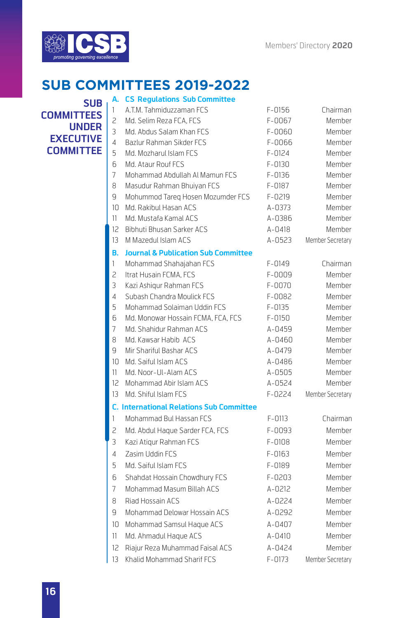

#### **A. CS Regulations Sub Committee SUB COMMITTEES 2019-2022**

**SUB COMMITTEES UNDER EXECUTIVE COMMITTEE**

| 1  | A.T.M. Tahmiduzzaman FCS                        | $F - 0156$ | Chairman         |
|----|-------------------------------------------------|------------|------------------|
| 2  | Md. Selim Reza FCA. FCS                         | $F-0067$   | Member           |
| 3  | Md. Abdus Salam Khan FCS                        | $F - 0060$ | Member           |
| 4  | Bazlur Rahman Sikder FCS                        | F-0066     | Member           |
| 5  | Md. Mozharul Islam FCS                          | $F - 0124$ | <b>Member</b>    |
| 6  | Md. Ataur Rouf FCS                              | F-0130     | <b>Member</b>    |
| 7  | Mohammad Abdullah AI Mamun FCS                  | F-0136     | Member           |
| 8  | Masudur Rahman Bhuiyan FCS                      | F-0187     | <b>Member</b>    |
| 9  | Mohummod Tareg Hosen Mozumder FCS               | F-0219     | Member           |
| 10 | Md. Rakibul Hasan ACS                           | A-0373     | <b>Member</b>    |
| 11 | Md. Mustafa Kamal ACS                           | A-0386     | Member           |
| 12 | Bibhuti Bhusan Sarker ACS                       | A-0418     | <b>Member</b>    |
| 13 | M Mazedul Islam ACS                             | A-0523     | Member Secretary |
| В. | <b>Journal &amp; Publication Sub Committee</b>  |            |                  |
| 1  | Mohammad Shahajahan FCS                         | F-0149     | Chairman         |
| 2  | Itrat Husain FCMA, FCS                          | F-0009     | Member           |
| 3  | Kazi Ashigur Rahman FCS                         | F-0070     | Member           |
| 4  | Subash Chandra Moulick FCS                      | F-0082     | <b>Member</b>    |
| 5  | Mohammad Solaiman Uddin FCS                     | $F-0135$   | <b>Member</b>    |
| 6  | Md. Monowar Hossain FCMA, FCA, FCS              | $F - 0150$ | Member           |
| 7  | Md. Shahidur Rahman ACS                         | A-0459     | Member           |
| 8  | Md. Kawsar Habib ACS                            | A-0460     | Member           |
| 9  | Mir Shariful Bashar ACS                         | A-0479     | Member           |
| 10 | Md. Saiful Islam ACS                            | A-0486     | Member           |
| 11 | Md. Noor-UI-Alam ACS                            | A-0505     | Member           |
| 12 | Mohammad Abir Islam ACS                         | A-0524     | <b>Member</b>    |
| 13 | Md. Shiful Islam FCS                            | F-0224     | Member Secretary |
|    | <b>C. International Relations Sub Committee</b> |            |                  |
| 1  | Mohammad Bul Hassan FCS                         | $F - 0113$ | Chairman         |
| 2  | Md. Abdul Haque Sarder FCA, FCS                 | F-0093     | Member           |
| 3  | Kazi Atigur Rahman FCS                          | F-0108     | <b>Member</b>    |
| 4  | Zasim Uddin FCS                                 | $F-0163$   | Member           |
| 5  | Md. Saiful Islam FCS                            | F-0189     | Member           |
| 6  | Shahdat Hossain Chowdhury FCS                   | $F - 0203$ | Member           |
| 7  | Mohammad Masum Billah ACS                       | A-0212     | Member           |
| 8  | Riad Hossain ACS                                | A-0224     | Member           |
| 9  | Mohammad Delowar Hossain ACS                    | A-0292     | <b>Member</b>    |
| 10 | Mohammad Samsul Haque ACS                       | A-0407     | <b>Member</b>    |
| 11 | Md. Ahmadul Haque ACS                           | $A - 0410$ | Member           |
| 12 | Riajur Reza Muhammad Faisal ACS                 | A-0424     | Member           |
| 13 | Khalid Mohammad Sharif FCS                      | F-0173     | Member Secretary |
|    |                                                 |            |                  |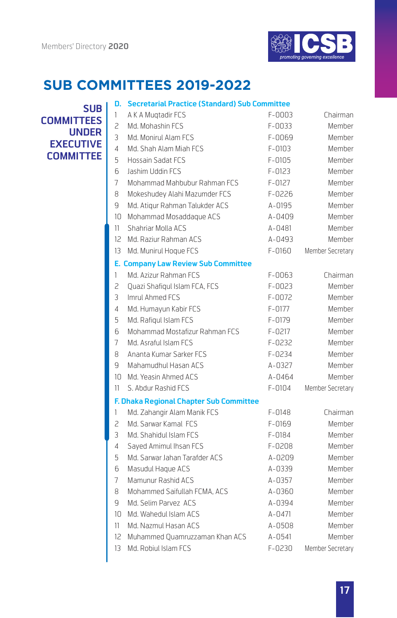

| <b>SUB</b>    | D.             | <b>Secretarial Practice (Standard) Sub Committee</b> |            |                  |
|---------------|----------------|------------------------------------------------------|------------|------------------|
|               | 1              | A K A Mugtadir FCS                                   | F-0003     | Chairman         |
| <b>ITTEES</b> | 2              | Md. Mohashin FCS                                     | $F-0033$   | Member           |
| <b>UNDER</b>  | 3              | Md. Monirul Alam FCS                                 | F-0069     | Member           |
| <b>CUTIVE</b> | $\overline{4}$ | Md. Shah Alam Miah FCS                               | F-0103     | Member           |
| <b>MITTEE</b> | 5              | <b>Hossain Sadat FCS</b>                             | $F-0105$   | Member           |
|               | 6              | Jashim Uddin FCS                                     | $F - 0123$ | Member           |
|               | 7              | Mohammad Mahbubur Rahman FCS                         | $F - 0127$ | Member           |
|               | 8              | Mokeshudey Alahi Mazumder FCS                        | $F-0226$   | Member           |
|               | 9              | Md. Atiqur Rahman Talukder ACS                       | A-0195     | Member           |
|               |                | 10 Mohammad Mosaddaque ACS                           | A-0409     | Member           |
|               | 11             | Shahriar Molla ACS                                   | A-0481     | Member           |
|               |                | 12 Md. Raziur Rahman ACS                             | A-0493     | Member           |
|               |                | 13 Md. Munirul Hoque FCS                             | F-0160     | Member Secretary |
|               |                | <b>E. Company Law Review Sub Committee</b>           |            |                  |
|               | 1              | Md. Azizur Rahman FCS                                | $F-0063$   | Chairman         |
|               | 2              | Quazi Shafiqul Islam FCA, FCS                        | $F-0023$   | Member           |
|               | 3              | Imrul Ahmed FCS                                      | F-0072     | Member           |
|               | $\overline{4}$ | Md. Humayun Kabir FCS                                | $F-0177$   | Member           |
|               | 5              | Md. Rafigul Islam FCS                                | F-0179     | Member           |
|               | 6              | Mohammad Mostafizur Rahman FCS                       | $F - 0217$ | Member           |
|               | 7              | Md. Asraful Islam FCS                                | F-0232     | Member           |
|               | 8              | Ananta Kumar Sarker FCS                              | F-0234     | Member           |
|               | q              | Mahamudhul Hasan ACS                                 | $A - 0327$ | Member           |
|               |                | 10 Md. Yeasin Ahmed ACS                              | A-0464     | Member           |
|               | 11             | S. Abdur Rashid FCS                                  | F-0104     | Member Secretary |
|               |                | F. Dhaka Regional Chapter Sub Committee              |            |                  |
|               | 1              | Md. Zahangir Alam Manik FCS                          | $F - 0148$ | Chairman         |
|               | 2              | Md. Sarwar Kamal FCS                                 | F-0169     | Member           |
|               | 3              | Md. Shahidul Islam FCS                               | F-0184     | Member           |
|               | 4              | Sayed Amimul Ihsan FCS                               | F-0208     | Member           |
|               | 5              | Md. Sarwar Jahan Tarafder ACS                        | A-0209     | Member           |
|               | 6              | Masudul Haque ACS                                    | A-0339     | Member           |
|               | 7              | Mamunur Rashid ACS                                   | A-0357     | Member           |
|               | 8              | Mohammed Saifullah FCMA, ACS                         | A-0360     | Member           |
|               | 9              | Md. Selim Parvez ACS                                 | A-0394     | Member           |
|               |                | 10 Md. Wahedul Islam ACS                             | $A - 0471$ | Member           |
|               | 11.            | Md. Nazmul Hasan ACS                                 | A-0508     | Member           |
|               | 12             | Muhammed Quamruzzaman Khan ACS                       | A-0541     | Member           |
|               | $13 \,$        | Md. Robiul Islam FCS                                 | F-0230     | Member Secretary |

**COMM UNDER EXEC COMM**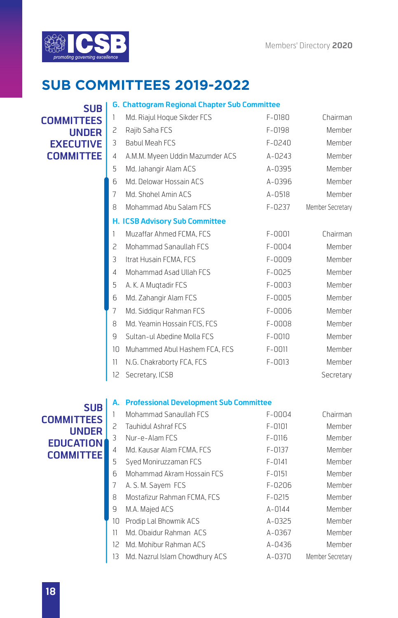

#### **SUB COMMITTEES UNDER EXECUTIVE COMMITTEE**

|    | <b>G. Chattogram Regional Chapter Sub Committee</b> |            |                  |
|----|-----------------------------------------------------|------------|------------------|
| 1  | Md. Riajul Hoque Sikder FCS                         | $F - 0180$ | Chairman         |
| 2  | Rajib Saha FCS                                      | F-0198     | Member           |
| 3  | <b>Babul Meah FCS</b>                               | F-0240     | Member           |
| 4  | A.M.M. Myeen Uddin Mazumder ACS                     | A-0243     | Member           |
| 5  | Md. Jahangir Alam ACS                               | A-0395     | Member           |
| 6  | Md. Delowar Hossain ACS                             | A-0396     | Member           |
| 7  | Md. Shohel Amin ACS                                 | A-0518     | Member           |
| 8  | Mohammad Abu Salam FCS                              | F-0237     | Member Secretary |
|    | <b>H. ICSB Advisory Sub Committee</b>               |            |                  |
| 1  | Muzaffar Ahmed FCMA, FCS                            | $F - 0001$ | Chairman         |
| 2  | Mohammad Sanaullah FCS                              | $F-0004$   | Member           |
| 3  | Itrat Husain FCMA, FCS                              | $F-0009$   | Member           |
| 4  | Mohammad Asad Ullah FCS                             | $F-0025$   | Member           |
| 5  | A. K. A Mugtadir FCS                                | $F-0003$   | Member           |
| 6  | Md. Zahangir Alam FCS                               | $F-0005$   | Member           |
| 7  | Md. Siddigur Rahman FCS                             | $F-0006$   | Member           |
| 8  | Md. Yeamin Hossain FCIS, FCS                        | $F-0008$   | Member           |
| 9  | Sultan-ul Abedine Molla FCS                         | $F - 0010$ | Member           |
| 10 | Muhammed Abul Hashem FCA, FCS                       | $F - 0011$ | Member           |
| 11 | N.G. Chakraborty FCA, FCS                           | $F - 0013$ | Member           |
| 12 | Secretary, ICSB                                     |            | Secretary        |
| А. | <b>Professional Development Sub Committee</b>       |            |                  |
| 1  | Mohammad Sanaullah FCS                              | $F - 0004$ | Chairman         |
| 2  | Tauhidul Ashraf FCS                                 | $F - 0101$ | Member           |

**SUB COMMITTEES UNDER EDUCATION COMMITTEE**

| 1   | Mohammad Sanaullah FCS            | F-0004     | Chairman         |
|-----|-----------------------------------|------------|------------------|
| 2.  | <b>Tauhidul Ashraf FCS</b>        | $F - 0101$ | Member           |
| 3   | Nur-e-Alam FCS                    | $F - 0116$ | Member           |
| 4   | Md. Kausar Alam FCMA. FCS         | $F-0137$   | Member           |
| 5   | Syed Moniruzzaman FCS             | $F - 0141$ | Member           |
| 6   | Mohammad Akram Hossain FCS        | $F - 0151$ | Member           |
| 7   | A. S. M. Sayem FCS                | $F-0206$   | Member           |
| 8   | Mostafizur Rahman FCMA, FCS       | $F - 0215$ | Member           |
| 9   | M.A. Majed ACS                    | $A - 0144$ | Member           |
| 10  | Prodip Lal Bhowmik ACS            | A-0325     | Member           |
| 11. | Md. Obaidur Rahman ACS            | A-0367     | Member           |
|     | 12 Md. Mohibur Rahman ACS         | A-0436     | Member           |
|     | 13 Md. Nazrul Islam Chowdhury ACS | A-0370     | Member Secretary |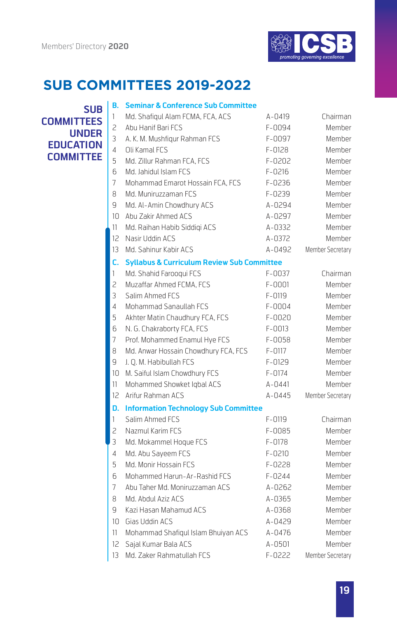

### **B. Seminar & Conference Sub Committee SUB**

| эил              |
|------------------|
| COMMITTFFS       |
| UNDFR            |
| FDUCATION        |
| <b>COMMITTFF</b> |

| 1  | Md. Shafiqul Alam FCMA, FCA, ACS                      | A-0419     | Chairman         |
|----|-------------------------------------------------------|------------|------------------|
| 2  | Abu Hanif Bari FCS                                    | F-0094     | Member           |
| 3  | A. K. M. Mushfiqur Rahman FCS                         | F-0097     | Member           |
| 4  | Oli Kamal FCS                                         | F-0128     | Member           |
| 5  | Md. Zillur Rahman FCA, FCS                            | $F-0202$   | Member           |
| 6  | Md. Jahidul Islam FCS                                 | $F - 0216$ | Member           |
| 7  | Mohammad Emarot Hossain FCA, FCS                      | $F-0236$   | Member           |
| 8  | Md. Muniruzzaman FCS                                  | F-0239     | Member           |
| 9  | Md. Al-Amin Chowdhury ACS                             | A-0294     | Member           |
| 10 | Abu Zakir Ahmed ACS                                   | A-0297     | Member           |
| 11 | Md. Raihan Habib Siddigi ACS                          | A-0332     | Member           |
| 12 | Nasir Uddin ACS                                       | A-0372     | Member           |
| 13 | Md. Sahinur Kabir ACS                                 | A-0492     | Member Secretary |
| c. | <b>Syllabus &amp; Curriculum Review Sub Committee</b> |            |                  |
| 1  | Md. Shahid Farooqui FCS                               | $F - 0037$ | Chairman         |
| 2  | Muzaffar Ahmed FCMA, FCS                              | $F - 0001$ | Member           |
| 3  | Salim Ahmed FCS                                       | F-0119     | Member           |
| 4  | Mohammad Sanaullah FCS                                | F-0004     | Member           |
| 5  | Akhter Matin Chaudhury FCA, FCS                       | $F-0020$   | Member           |
| 6  | N. G. Chakraborty FCA, FCS                            | $F-0013$   | Member           |
| 7  | Prof. Mohammed Enamul Hye FCS                         | F-0058     | Member           |
| 8  | Md. Anwar Hossain Chowdhury FCA, FCS                  | $F - 0117$ | Member           |
| 9  | J. O. M. Habibullah FCS                               | F-0129     | Member           |
| 10 | M. Saiful Islam Chowdhury FCS                         | $F - 0174$ | Member           |
| 11 | Mohammed Showket Iqbal ACS                            | A-0441     | Member           |
| 12 | Arifur Rahman ACS                                     | A-0445     | Member Secretary |
| D. | <b>Information Technology Sub Committee</b>           |            |                  |
| 1  | Salim Ahmed FCS                                       | F-0119     | Chairman         |
| 2  | Nazmul Karim FCS                                      | F-0085     | Member           |
| 3  | Md. Mokammel Hoque FCS                                | F-0178     | Member           |
| 4  | Md. Abu Sayeem FCS                                    | $F - 0210$ | Member           |
| 5  | Md. Monir Hossain FCS                                 | F-0228     | Member           |
| 6  | Mohammed Harun-Ar-Rashid FCS                          | F-0244     | Member           |
| 7  | Abu Taher Md. Moniruzzaman ACS                        | A-0262     | Member           |
| 8  | Md. Abdul Aziz ACS                                    | A-0365     | Member           |
| 9  | Kazi Hasan Mahamud ACS                                | A-0368     | Member           |
| 10 | Gias Uddin ACS                                        | A-0429     | Member           |
| 11 | Mohammad Shafiqul Islam Bhuiyan ACS                   | A-0476     | Member           |
| 12 | Sajal Kumar Bala ACS                                  | A-0501     | Member           |
| 13 | Md. Zaker Rahmatullah FCS                             | F-0222     | Member Secretary |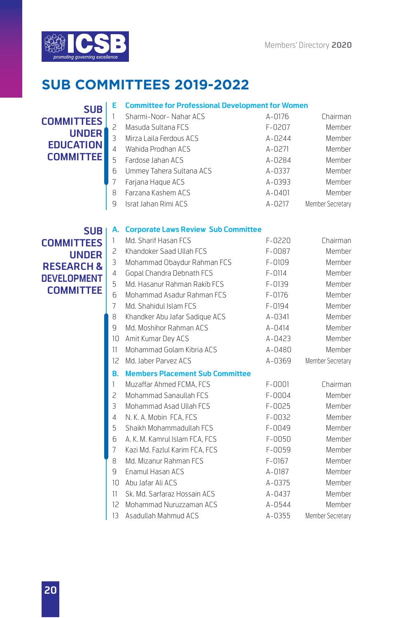

### **E Committee for Professional Development for Women SUB**

**COMMITTEES UNDER EDUCATION COMMITTEE**

| $\mathbf{1}$   | Sharmi-Noor-Nahar ACS    | A-0176     | Chairman         |
|----------------|--------------------------|------------|------------------|
| $\mathcal{P}$  | Masuda Sultana FCS       | F-0207     | Member           |
| 3              | Mirza Laila Ferdous ACS  | A-0244     | Member           |
| $\overline{4}$ | Wahida Prodhan ACS       | A-0271     | Member           |
| 5              | Fardose Jahan ACS        | A-0284     | Member           |
| 6              | Ummey Tahera Sultana ACS | $A - 0337$ | Member           |
| 7              | Farjana Haque ACS        | A-0393     | Member           |
| 8              | Farzana Kashem ACS       | A-0401     | Member           |
| q              | Israt Jahan Rimi ACS     | A-0217     | Member Secretary |
|                |                          |            |                  |

### **A. Corporate Laws Review Sub Committee SUB**

| <b>COMMITTEES</b>     | 1                        | Md. Sharif Hasan FCS                   | $F - 0220$ | Chairman         |
|-----------------------|--------------------------|----------------------------------------|------------|------------------|
| <b>UNDER</b>          | 2                        | Khandoker Saad Ullah FCS               | F-0087     | Member           |
| <b>RESEARCH &amp;</b> | 3                        | Mohammad Obaydur Rahman FCS            | $F - 0109$ | Member           |
|                       | 4                        | Gopal Chandra Debnath FCS              | $F - 0114$ | Member           |
| <b>DEVELOPMENT</b>    | 5                        | Md. Hasanur Rahman Rakib FCS           | $F - 0139$ | Member           |
| <b>COMMITTEE</b>      | 6                        | Mohammad Asadur Rahman FCS             | $F - 0176$ | Member           |
|                       | 7                        | Md. Shahidul Islam FCS                 | F-0194     | Member           |
|                       | 8                        | Khandker Abu Jafar Sadique ACS         | $A - 0341$ | Member           |
|                       | 9                        | Md. Moshihor Rahman ACS                | $A - 0414$ | Member           |
|                       | 10                       | Amit Kumar Dey ACS                     | A-0423     | Member           |
|                       | 11                       | Mohammad Golam Kibria ACS              | A-0480     | Member           |
|                       | $12^{12}$                | Md. Jaber Parvez ACS                   | A-0369     | Member Secretary |
|                       | В.                       | <b>Members Placement Sub Committee</b> |            |                  |
|                       | 1                        | Muzaffar Ahmed FCMA, FCS               | $F - 0001$ | Chairman         |
|                       | $\overline{\phantom{0}}$ | Mohammad Sanaullah FCS                 | F-0004     | Member           |
|                       | 3                        | Mohammad Asad Ullah FCS                | $F-0025$   | Member           |
|                       | 4                        | N. K. A. Mobin FCA, FCS                | $F-0032$   | Member           |
|                       | 5                        | Shaikh Mohammadullah FCS               | $F-0049$   | Member           |
|                       | 6                        | A. K. M. Kamrul Islam FCA, FCS         | $F-0050$   | Member           |
|                       | 7                        | Kazi Md. Fazlul Karim FCA, FCS         | F-0059     | Member           |
|                       | 8                        | Md. Mizanur Rahman FCS                 | $F-0167$   | Member           |
|                       | 9                        | Enamul Hasan ACS                       | A-0187     | Member           |
|                       | 10                       | Abu Jafar Ali ACS                      | A-0375     | Member           |
|                       | 11                       | Sk. Md. Sarfaraz Hossain ACS           | A-0437     | Member           |
|                       | $12^{12}$                | Mohammad Nuruzzaman ACS                | A-0544     | Member           |
|                       | 13                       | Asadullah Mahmud ACS                   | A-0355     | Member Secretary |